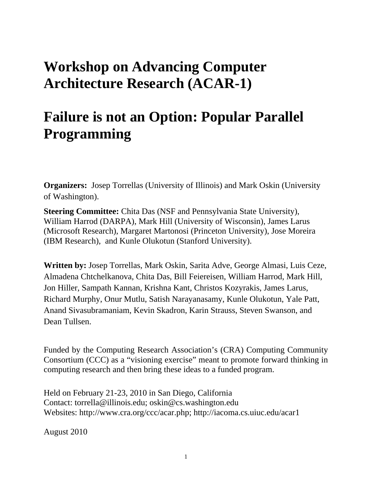## **Workshop on Advancing Computer Architecture Research (ACAR-1)**

# **Failure is not an Option: Popular Parallel Programming**

**Organizers:** Josep Torrellas (University of Illinois) and Mark Oskin (University of Washington).

**Steering Committee:** Chita Das (NSF and Pennsylvania State University), William Harrod (DARPA), Mark Hill (University of Wisconsin), James Larus (Microsoft Research), Margaret Martonosi (Princeton University), Jose Moreira (IBM Research), and Kunle Olukotun (Stanford University).

**Written by:** Josep Torrellas, Mark Oskin, Sarita Adve, George Almasi, Luis Ceze, Almadena Chtchelkanova, Chita Das, Bill Feiereisen, William Harrod, Mark Hill, Jon Hiller, Sampath Kannan, Krishna Kant, Christos Kozyrakis, James Larus, Richard Murphy, Onur Mutlu, Satish Narayanasamy, Kunle Olukotun, Yale Patt, Anand Sivasubramaniam, Kevin Skadron, Karin Strauss, Steven Swanson, and Dean Tullsen.

Funded by the Computing Research Association's (CRA) Computing Community Consortium (CCC) as a "visioning exercise" meant to promote forward thinking in computing research and then bring these ideas to a funded program.

Held on February 21-23, 2010 in San Diego, California Contact: torrella@illinois.edu; oskin@cs.washington.edu Websites: http://www.cra.org/ccc/acar.php; http://iacoma.cs.uiuc.edu/acar1

August 2010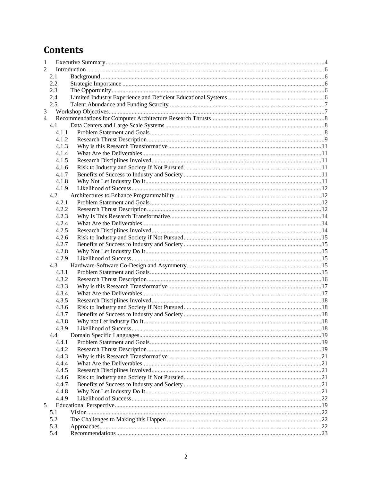## **Contents**

| 1              |              |  |  |
|----------------|--------------|--|--|
| $\mathfrak{D}$ |              |  |  |
|                | 2.1          |  |  |
|                | 2.2          |  |  |
|                | 2.3          |  |  |
|                | 2.4          |  |  |
|                | 2.5          |  |  |
| 3              |              |  |  |
| $\overline{4}$ |              |  |  |
|                | 4.1          |  |  |
|                | 4.1.1        |  |  |
|                | 4.1.2        |  |  |
|                | 4.1.3        |  |  |
|                | 4.1.4        |  |  |
|                | 4.1.5        |  |  |
|                | 4.1.6        |  |  |
|                | 4.1.7        |  |  |
|                | 4.1.8        |  |  |
|                | 4.1.9        |  |  |
|                | 4.2          |  |  |
|                | 4.2.1        |  |  |
|                | 4.2.2        |  |  |
|                | 4.2.3        |  |  |
|                | 4.2.4        |  |  |
|                | 4.2.5        |  |  |
|                | 4.2.6        |  |  |
|                | 4.2.7        |  |  |
|                | 4.2.8        |  |  |
|                | 4.2.9        |  |  |
|                | 4.3          |  |  |
|                | 4.3.1        |  |  |
|                | 4.3.2        |  |  |
|                | 4.3.3        |  |  |
|                | 4.3.4        |  |  |
|                | 4.3.5        |  |  |
|                | 4.3.6        |  |  |
|                | 4.3.7        |  |  |
|                | 4.3.8        |  |  |
|                | 4.3.9        |  |  |
|                | 4.4<br>4.4.1 |  |  |
|                | 4.4.2        |  |  |
|                | 4.4.3        |  |  |
|                | 4.4.4        |  |  |
|                | 4.4.5        |  |  |
|                | 4.4.6        |  |  |
|                | 4.4.7        |  |  |
|                | 4.4.8        |  |  |
|                | 4.4.9        |  |  |
| 5              |              |  |  |
|                | 5.1          |  |  |
|                | 5.2          |  |  |
|                | 5.3          |  |  |
|                | 5.4          |  |  |
|                |              |  |  |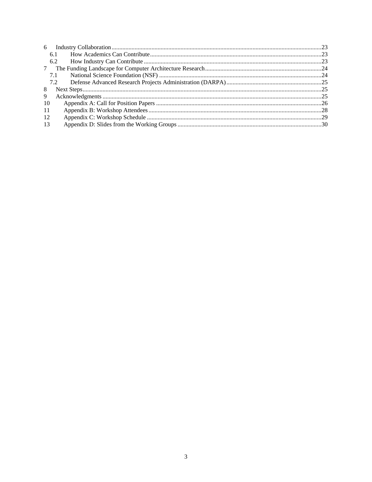| 6  |     |  |
|----|-----|--|
|    | 6.1 |  |
|    | 6.2 |  |
| 7  |     |  |
|    | 7.1 |  |
|    | 7.2 |  |
| 8  |     |  |
| 9  |     |  |
| 10 |     |  |
| 11 |     |  |
| 12 |     |  |
| 13 |     |  |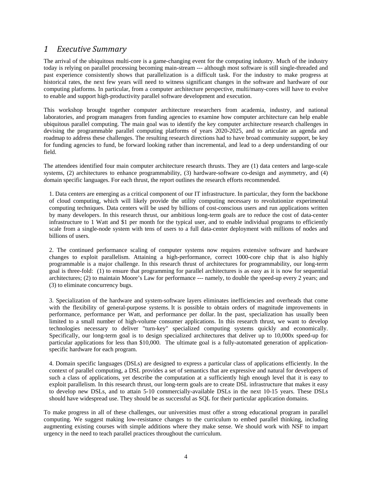#### *1 Executive Summary*

The arrival of the ubiquitous multi-core is a game-changing event for the computing industry. Much of the industry today is relying on parallel processing becoming main-stream --- although most software is still single-threaded and past experience consistently shows that parallelization is a difficult task. For the industry to make progress at historical rates, the next few years will need to witness significant changes in the software and hardware of our computing platforms. In particular, from a computer architecture perspective, multi/many-cores will have to evolve to enable and support high-productivity parallel software development and execution.

This workshop brought together computer architecture researchers from academia, industry, and national laboratories, and program managers from funding agencies to examine how computer architecture can help enable ubiquitous parallel computing. The main goal was to identify the key computer architecture research challenges in devising the programmable parallel computing platforms of years 2020-2025, and to articulate an agenda and roadmap to address these challenges. The resulting research directions had to have broad community support, be key for funding agencies to fund, be forward looking rather than incremental, and lead to a deep understanding of our field.

The attendees identified four main computer architecture research thrusts. They are (1) data centers and large-scale systems, (2) architectures to enhance programmability, (3) hardware-software co-design and asymmetry, and (4) domain specific languages. For each thrust, the report outlines the research efforts recommended.

1. Data centers are emerging as a critical component of our IT infrastructure. In particular, they form the backbone of cloud computing, which will likely provide the utility computing necessary to revolutionize experimental computing techniques. Data centers will be used by billions of cost-conscious users and run applications written by many developers. In this research thrust, our ambitious long-term goals are to reduce the cost of data-center infrastructure to 1 Watt and \$1 per month for the typical user, and to enable individual programs to efficiently scale from a single-node system with tens of users to a full data-center deployment with millions of nodes and billions of users.

2. The continued performance scaling of computer systems now requires extensive software and hardware changes to exploit parallelism. Attaining a high-performance, correct 1000-core chip that is also highly programmable is a major challenge. In this research thrust of architectures for programmability, our long-term goal is three-fold: (1) to ensure that programming for parallel architectures is as easy as it is now for sequential architectures; (2) to maintain Moore's Law for performance --- namely, to double the speed-up every 2 years; and (3) to eliminate concurrency bugs.

3. Specialization of the hardware and system-software layers eliminates inefficiencies and overheads that come with the flexibility of general-purpose systems. It is possible to obtain orders of magnitude improvements in performance, performance per Watt, and performance per dollar. In the past, specialization has usually been limited to a small number of high-volume consumer applications. In this research thrust, we want to develop technologies necessary to deliver "turn-key" specialized computing systems quickly and economically. Specifically, our long-term goal is to design specialized architectures that deliver up to 10,000x speed-up for particular applications for less than \$10,000. The ultimate goal is a fully-automated generation of applicationspecific hardware for each program.

4. Domain specific languages (DSLs) are designed to express a particular class of applications efficiently. In the context of parallel computing, a DSL provides a set of semantics that are expressive and natural for developers of such a class of applications, yet describe the computation at a sufficiently high enough level that it is easy to exploit parallelism. In this research thrust, our long-term goals are to create DSL infrastructure that makes it easy to develop new DSLs, and to attain 5-10 commercially-available DSLs in the next 10-15 years. These DSLs should have widespread use. They should be as successful as SQL for their particular application domains.

To make progress in all of these challenges, our universities must offer a strong educational program in parallel computing. We suggest making low-resistance changes to the curriculum to embed parallel thinking, including augmenting existing courses with simple additions where they make sense. We should work with NSF to impart urgency in the need to teach parallel practices throughout the curriculum.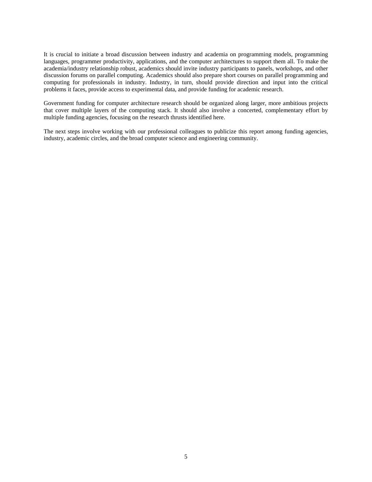It is crucial to initiate a broad discussion between industry and academia on programming models, programming languages, programmer productivity, applications, and the computer architectures to support them all. To make the academia/industry relationship robust, academics should invite industry participants to panels, workshops, and other discussion forums on parallel computing. Academics should also prepare short courses on parallel programming and computing for professionals in industry. Industry, in turn, should provide direction and input into the critical problems it faces, provide access to experimental data, and provide funding for academic research.

Government funding for computer architecture research should be organized along larger, more ambitious projects that cover multiple layers of the computing stack. It should also involve a concerted, complementary effort by multiple funding agencies, focusing on the research thrusts identified here.

The next steps involve working with our professional colleagues to publicize this report among funding agencies, industry, academic circles, and the broad computer science and engineering community.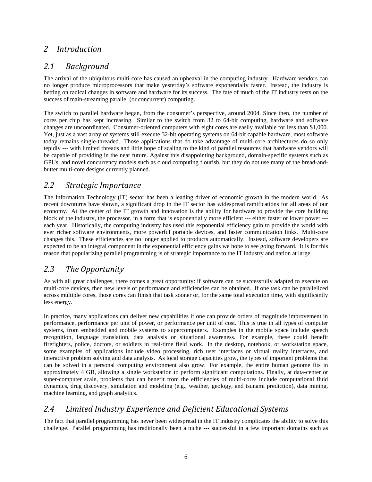### *2 Introduction*

### *2.1 Background*

The arrival of the ubiquitous multi-core has caused an upheaval in the computing industry. Hardware vendors can no longer produce microprocessors that make yesterday's software exponentially faster. Instead, the industry is betting on radical changes in software and hardware for its success. The fate of much of the IT industry rests on the success of main-streaming parallel (or concurrent) computing.

The switch to parallel hardware began, from the consumer's perspective, around 2004. Since then, the number of cores per chip has kept increasing. Similar to the switch from 32 to 64-bit computing, hardware and software changes are uncoordinated. Consumer-oriented computers with eight cores are easily available for less than \$1,000. Yet, just as a vast array of systems still execute 32-bit operating systems on 64-bit capable hardware, most software today remains single-threaded. Those applications that do take advantage of multi-core architectures do so only tepidly --- with limited threads and little hope of scaling to the kind of parallel resources that hardware vendors will be capable of providing in the near future. Against this disappointing background, domain-specific systems such as GPUs, and novel concurrency models such as cloud computing flourish, but they do not use many of the bread-andbutter multi-core designs currently planned.

#### *2.2 Strategic Importance*

The Information Technology (IT) sector has been a leading driver of economic growth in the modern world. As recent downturns have shown, a significant drop in the IT sector has widespread ramifications for all areas of our economy. At the center of the IT growth and innovation is the ability for hardware to provide the core building block of the industry, the processor, in a form that is exponentially more efficient --- either faster or lower power -- each year. Historically, the computing industry has used this exponential efficiency gain to provide the world with ever richer software environments, more powerful portable devices, and faster communication links. Multi-core changes this. These efficiencies are no longer applied to products automatically. Instead, software developers are expected to be an integral component in the exponential efficiency gains we hope to see going forward. It is for this reason that popularizing parallel programming is of strategic importance to the IT industry and nation at large.

### *2.3 The Opportunity*

As with all great challenges, there comes a great opportunity: if software can be successfully adapted to execute on multi-core devices, then new levels of performance and efficiencies can be obtained. If one task can be parallelized across multiple cores, those cores can finish that task sooner or, for the same total execution time, with significantly less energy.

In practice, many applications can deliver new capabilities if one can provide orders of magnitude improvement in performance, performance per unit of power, or performance per unit of cost. This is true in all types of computer systems, from embedded and mobile systems to supercomputers. Examples in the mobile space include speech recognition, language translation, data analysis or situational awareness. For example, these could benefit firefighters, police, doctors, or soldiers in real-time field work. In the desktop, notebook, or workstation space, some examples of applications include video processing, rich user interfaces or virtual reality interfaces, and interactive problem solving and data analysis. As local storage capacities grow, the types of important problems that can be solved in a personal computing environment also grow. For example, the entire human genome fits in approximately 4 GB, allowing a single workstation to perform significant computations. Finally, at data-center or super-computer scale, problems that can benefit from the efficiencies of multi-cores include computational fluid dynamics, drug discovery, simulation and modeling (e.g., weather, geology, and tsunami prediction), data mining, machine learning, and graph analytics.

### *2.4 Limited Industry Experience and Deficient Educational Systems*

The fact that parallel programming has never been widespread in the IT industry complicates the ability to solve this challenge. Parallel programming has traditionally been a niche --- successful in a few important domains such as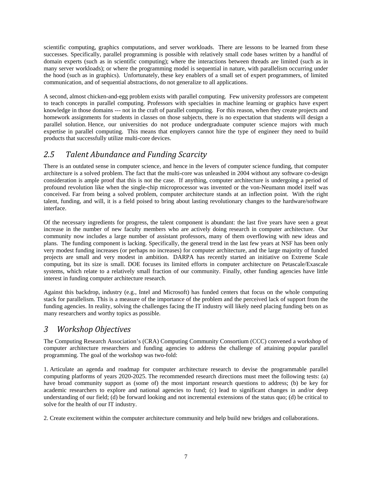scientific computing, graphics computations, and server workloads. There are lessons to be learned from these successes. Specifically, parallel programming is possible with relatively small code bases written by a handful of domain experts (such as in scientific computing); where the interactions between threads are limited (such as in many server workloads); or where the programming model is sequential in nature, with parallelism occurring under the hood (such as in graphics). Unfortunately, these key enablers of a small set of expert programmers, of limited communication, and of sequential abstractions, do not generalize to all applications.

A second, almost chicken-and-egg problem exists with parallel computing. Few university professors are competent to teach concepts in parallel computing. Professors with specialties in machine learning or graphics have expert knowledge in those domains --- not in the craft of parallel computing. For this reason, when they create projects and homework assignments for students in classes on those subjects, there is no expectation that students will design a parallel solution. Hence, our universities do not produce undergraduate computer science majors with much expertise in parallel computing. This means that employers cannot hire the type of engineer they need to build products that successfully utilize multi-core devices.

### *2.5 Talent Abundance and Funding Scarcity*

There is an outdated sense in computer science, and hence in the levers of computer science funding, that computer architecture is a solved problem. The fact that the multi-core was unleashed in 2004 without any software co-design consideration is ample proof that this is not the case. If anything, computer architecture is undergoing a period of profound revolution like when the single-chip microprocessor was invented or the von-Neumann model itself was conceived. Far from being a solved problem, computer architecture stands at an inflection point. With the right talent, funding, and will, it is a field poised to bring about lasting revolutionary changes to the hardware/software interface.

Of the necessary ingredients for progress, the talent component is abundant: the last five years have seen a great increase in the number of new faculty members who are actively doing research in computer architecture. Our community now includes a large number of assistant professors, many of them overflowing with new ideas and plans. The funding component is lacking. Specifically, the general trend in the last few years at NSF has been only very modest funding increases (or perhaps no increases) for computer architecture, and the large majority of funded projects are small and very modest in ambition. DARPA has recently started an initiative on Extreme Scale computing, but its size is small. DOE focuses its limited efforts in computer architecture on Petascale/Exascale systems, which relate to a relatively small fraction of our community. Finally, other funding agencies have little interest in funding computer architecture research.

Against this backdrop, industry (e.g., Intel and Microsoft) has funded centers that focus on the whole computing stack for parallelism. This is a measure of the importance of the problem and the perceived lack of support from the funding agencies. In reality, solving the challenges facing the IT industry will likely need placing funding bets on as many researchers and worthy topics as possible.

### *3 Workshop Objectives*

The Computing Research Association's (CRA) Computing Community Consortium (CCC) convened a workshop of computer architecture researchers and funding agencies to address the challenge of attaining popular parallel programming. The goal of the workshop was two-fold:

1. Articulate an agenda and roadmap for computer architecture research to devise the programmable parallel computing platforms of years 2020-2025. The recommended research directions must meet the following tests: (a) have broad community support as (some of) the most important research questions to address; (b) be key for academic researchers to explore and national agencies to fund; (c) lead to significant changes in and/or deep understanding of our field; (d) be forward looking and not incremental extensions of the status quo; (d) be critical to solve for the health of our IT industry.

2. Create excitement within the computer architecture community and help build new bridges and collaborations.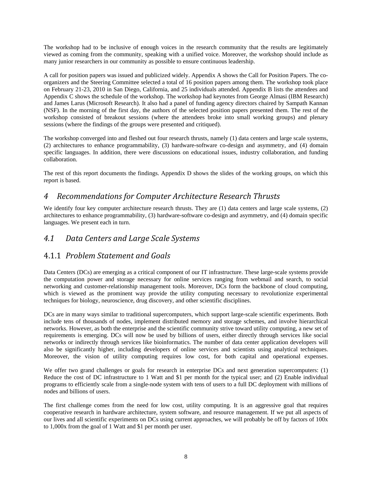The workshop had to be inclusive of enough voices in the research community that the results are legitimately viewed as coming from the community, speaking with a unified voice. Moreover, the workshop should include as many junior researchers in our community as possible to ensure continuous leadership.

A call for position papers was issued and publicized widely. Appendix A shows the Call for Position Papers. The coorganizers and the Steering Committee selected a total of 16 position papers among them. The workshop took place on February 21-23, 2010 in San Diego, California, and 25 individuals attended. Appendix B lists the attendees and Appendix C shows the schedule of the workshop. The workshop had keynotes from George Almasi (IBM Research) and James Larus (Microsoft Research). It also had a panel of funding agency directors chaired by Sampath Kannan (NSF). In the morning of the first day, the authors of the selected position papers presented them. The rest of the workshop consisted of breakout sessions (where the attendees broke into small working groups) and plenary sessions (where the findings of the groups were presented and critiqued).

The workshop converged into and fleshed out four research thrusts, namely (1) data centers and large scale systems, (2) architectures to enhance programmability, (3) hardware-software co-design and asymmetry, and (4) domain specific languages. In addition, there were discussions on educational issues, industry collaboration, and funding collaboration.

The rest of this report documents the findings. Appendix D shows the slides of the working groups, on which this report is based.

#### *4 Recommendations for Computer Architecture Research Thrusts*

We identify four key computer architecture research thrusts. They are (1) data centers and large scale systems, (2) architectures to enhance programmability, (3) hardware-software co-design and asymmetry, and (4) domain specific languages. We present each in turn.

#### *4.1 Data Centers and Large Scale Systems*

### 4.1.1 *Problem Statement and Goals*

Data Centers (DCs) are emerging as a critical component of our IT infrastructure. These large-scale systems provide the computation power and storage necessary for online services ranging from webmail and search, to social networking and customer-relationship management tools. Moreover, DCs form the backbone of cloud computing, which is viewed as the prominent way provide the utility computing necessary to revolutionize experimental techniques for biology, neuroscience, drug discovery, and other scientific disciplines.

DCs are in many ways similar to traditional supercomputers, which support large-scale scientific experiments. Both include tens of thousands of nodes, implement distributed memory and storage schemes, and involve hierarchical networks. However, as both the enterprise and the scientific community strive toward utility computing, a new set of requirements is emerging. DCs will now be used by billions of users, either directly through services like social networks or indirectly through services like bioinformatics. The number of data center application developers will also be significantly higher, including developers of online services and scientists using analytical techniques. Moreover, the vision of utility computing requires low cost, for both capital and operational expenses.

We offer two grand challenges or goals for research in enterprise DCs and next generation supercomputers: (1) Reduce the cost of DC infrastructure to 1 Watt and \$1 per month for the typical user; and (2) Enable individual programs to efficiently scale from a single-node system with tens of users to a full DC deployment with millions of nodes and billions of users.

The first challenge comes from the need for low cost, utility computing. It is an aggressive goal that requires cooperative research in hardware architecture, system software, and resource management. If we put all aspects of our lives and all scientific experiments on DCs using current approaches, we will probably be off by factors of 100x to 1,000x from the goal of 1 Watt and \$1 per month per user.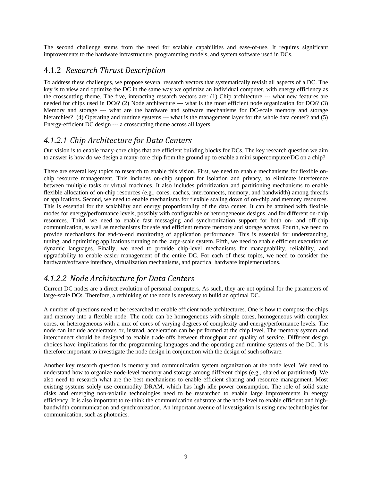The second challenge stems from the need for scalable capabilities and ease-of-use. It requires significant improvements to the hardware infrastructure, programming models, and system software used in DCs.

#### 4.1.2 *Research Thrust Description*

To address these challenges, we propose several research vectors that systematically revisit all aspects of a DC. The key is to view and optimize the DC in the same way we optimize an individual computer, with energy efficiency as the crosscutting theme. The five, interacting research vectors are: (1) Chip architecture --- what new features are needed for chips used in DCs? (2) Node architecture --- what is the most efficient node organization for DCs? (3) Memory and storage --- what are the hardware and software mechanisms for DC-scale memory and storage hierarchies? (4) Operating and runtime systems --- what is the management layer for the whole data center? and (5) Energy-efficient DC design --- a crosscutting theme across all layers.

#### *4.1.2.1 Chip Architecture for Data Centers*

Our vision is to enable many-core chips that are efficient building blocks for DCs. The key research question we aim to answer is how do we design a many-core chip from the ground up to enable a mini supercomputer/DC on a chip?

There are several key topics to research to enable this vision. First, we need to enable mechanisms for flexible onchip resource management. This includes on-chip support for isolation and privacy, to eliminate interference between multiple tasks or virtual machines. It also includes prioritization and partitioning mechanisms to enable flexible allocation of on-chip resources (e.g., cores, caches, interconnects, memory, and bandwidth) among threads or applications. Second, we need to enable mechanisms for flexible scaling down of on-chip and memory resources. This is essential for the scalability and energy proportionality of the data center. It can be attained with flexible modes for energy/performance levels, possibly with configurable or heterogeneous designs, and for different on-chip resources. Third, we need to enable fast messaging and synchronization support for both on- and off-chip communication, as well as mechanisms for safe and efficient remote memory and storage access. Fourth, we need to provide mechanisms for end-to-end monitoring of application performance. This is essential for understanding, tuning, and optimizing applications running on the large-scale system. Fifth, we need to enable efficient execution of dynamic languages. Finally, we need to provide chip-level mechanisms for manageability, reliability, and upgradability to enable easier management of the entire DC. For each of these topics, we need to consider the hardware/software interface, virtualization mechanisms, and practical hardware implementations.

### *4.1.2.2 Node Architecture for Data Centers*

Current DC nodes are a direct evolution of personal computers. As such, they are not optimal for the parameters of large-scale DCs. Therefore, a rethinking of the node is necessary to build an optimal DC.

A number of questions need to be researched to enable efficient node architectures. One is how to compose the chips and memory into a flexible node. The node can be homogeneous with simple cores, homogeneous with complex cores, or heterogeneous with a mix of cores of varying degrees of complexity and energy/performance levels. The node can include accelerators or, instead, acceleration can be performed at the chip level. The memory system and interconnect should be designed to enable trade-offs between throughput and quality of service. Different design choices have implications for the programming languages and the operating and runtime systems of the DC. It is therefore important to investigate the node design in conjunction with the design of such software.

Another key research question is memory and communication system organization at the node level. We need to understand how to organize node-level memory and storage among different chips (e.g., shared or partitioned). We also need to research what are the best mechanisms to enable efficient sharing and resource management. Most existing systems solely use commodity DRAM, which has high idle power consumption. The role of solid state disks and emerging non-volatile technologies need to be researched to enable large improvements in energy efficiency. It is also important to re-think the communication substrate at the node level to enable efficient and highbandwidth communication and synchronization. An important avenue of investigation is using new technologies for communication, such as photonics.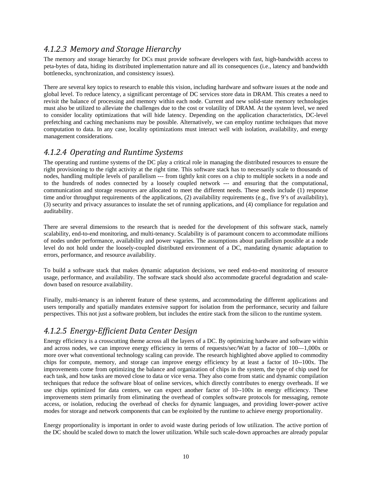### *4.1.2.3 Memory and Storage Hierarchy*

The memory and storage hierarchy for DCs must provide software developers with fast, high-bandwidth access to peta-bytes of data, hiding its distributed implementation nature and all its consequences (i.e., latency and bandwidth bottlenecks, synchronization, and consistency issues).

There are several key topics to research to enable this vision, including hardware and software issues at the node and global level. To reduce latency, a significant percentage of DC services store data in DRAM. This creates a need to revisit the balance of processing and memory within each node. Current and new solid-state memory technologies must also be utilized to alleviate the challenges due to the cost or volatility of DRAM. At the system level, we need to consider locality optimizations that will hide latency. Depending on the application characteristics, DC-level prefetching and caching mechanisms may be possible. Alternatively, we can employ runtime techniques that move computation to data. In any case, locality optimizations must interact well with isolation, availability, and energy management considerations.

#### *4.1.2.4 Operating and Runtime Systems*

The operating and runtime systems of the DC play a critical role in managing the distributed resources to ensure the right provisioning to the right activity at the right time. This software stack has to necessarily scale to thousands of nodes, handling multiple levels of parallelism --- from tightly knit cores on a chip to multiple sockets in a node and to the hundreds of nodes connected by a loosely coupled network --- and ensuring that the computational, communication and storage resources are allocated to meet the different needs. These needs include (1) response time and/or throughput requirements of the applications, (2) availability requirements (e.g., five 9's of availability), (3) security and privacy assurances to insulate the set of running applications, and (4) compliance for regulation and auditability.

There are several dimensions to the research that is needed for the development of this software stack, namely scalability, end-to-end monitoring, and multi-tenancy. Scalability is of paramount concern to accommodate millions of nodes under performance, availability and power vagaries. The assumptions about parallelism possible at a node level do not hold under the loosely-coupled distributed environment of a DC, mandating dynamic adaptation to errors, performance, and resource availability.

To build a software stack that makes dynamic adaptation decisions, we need end-to-end monitoring of resource usage, performance, and availability. The software stack should also accommodate graceful degradation and scaledown based on resource availability.

Finally, multi-tenancy is an inherent feature of these systems, and accommodating the different applications and users temporally and spatially mandates extensive support for isolation from the performance, security and failure perspectives. This not just a software problem, but includes the entire stack from the silicon to the runtime system.

### *4.1.2.5 EnergyEfficient Data Center Design*

Energy efficiency is a crosscutting theme across all the layers of a DC. By optimizing hardware and software within and across nodes, we can improve energy efficiency in terms of requests/sec/Watt by a factor of 100—1,000x or more over what conventional technology scaling can provide. The research highlighted above applied to commodity chips for compute, memory, and storage can improve energy efficiency by at least a factor of 10--100x. The improvements come from optimizing the balance and organization of chips in the system, the type of chip used for each task, and how tasks are moved close to data or vice versa. They also come from static and dynamic compilation techniques that reduce the software bloat of online services, which directly contributes to energy overheads. If we use chips optimized for data centers, we can expect another factor of 10--100x in energy efficiency. These improvements stem primarily from eliminating the overhead of complex software protocols for messaging, remote access, or isolation, reducing the overhead of checks for dynamic languages, and providing lower-power active modes for storage and network components that can be exploited by the runtime to achieve energy proportionality.

Energy proportionality is important in order to avoid waste during periods of low utilization. The active portion of the DC should be scaled down to match the lower utilization. While such scale-down approaches are already popular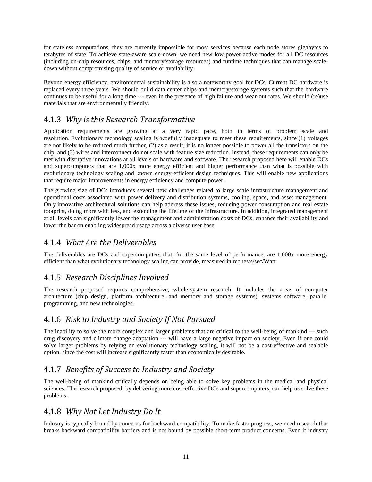for stateless computations, they are currently impossible for most services because each node stores gigabytes to terabytes of state. To achieve state-aware scale-down, we need new low-power active modes for all DC resources (including on-chip resources, chips, and memory/storage resources) and runtime techniques that can manage scaledown without compromising quality of service or availability.

Beyond energy efficiency, environmental sustainability is also a noteworthy goal for DCs. Current DC hardware is replaced every three years. We should build data center chips and memory/storage systems such that the hardware continues to be useful for a long time --- even in the presence of high failure and wear-out rates. We should (re)use materials that are environmentally friendly.

### 4.1.3 *Why is this Research Transformative*

Application requirements are growing at a very rapid pace, both in terms of problem scale and resolution. Evolutionary technology scaling is woefully inadequate to meet these requirements, since (1) voltages are not likely to be reduced much further, (2) as a result, it is no longer possible to power all the transistors on the chip, and (3) wires and interconnect do not scale with feature size reduction. Instead, these requirements can only be met with disruptive innovations at all levels of hardware and software. The research proposed here will enable DCs and supercomputers that are 1,000x more energy efficient and higher performance than what is possible with evolutionary technology scaling and known energy-efficient design techniques. This will enable new applications that require major improvements in energy efficiency and compute power.

The growing size of DCs introduces several new challenges related to large scale infrastructure management and operational costs associated with power delivery and distribution systems, cooling, space, and asset management. Only innovative architectural solutions can help address these issues, reducing power consumption and real estate footprint, doing more with less, and extending the lifetime of the infrastructure. In addition, integrated management at all levels can significantly lower the management and administration costs of DCs, enhance their availability and lower the bar on enabling widespread usage across a diverse user base.

#### 4.1.4 *What Are the Deliverables*

The deliverables are DCs and supercomputers that, for the same level of performance, are 1,000x more energy efficient than what evolutionary technology scaling can provide, measured in requests/sec/Watt.

#### 4.1.5 *Research Disciplines Involved*

The research proposed requires comprehensive, whole-system research. It includes the areas of computer architecture (chip design, platform architecture, and memory and storage systems), systems software, parallel programming, and new technologies.

#### 4.1.6 *Risk to Industry and Society If Not Pursued*

The inability to solve the more complex and larger problems that are critical to the well-being of mankind --- such drug discovery and climate change adaptation --- will have a large negative impact on society. Even if one could solve larger problems by relying on evolutionary technology scaling, it will not be a cost-effective and scalable option, since the cost will increase significantly faster than economically desirable.

#### 4.1.7 *Benefits of Success to Industry and Society*

The well-being of mankind critically depends on being able to solve key problems in the medical and physical sciences. The research proposed, by delivering more cost-effective DCs and supercomputers, can help us solve these problems.

#### 4.1.8 *Why Not Let Industry Do It*

Industry is typically bound by concerns for backward compatibility. To make faster progress, we need research that breaks backward compatibility barriers and is not bound by possible short-term product concerns. Even if industry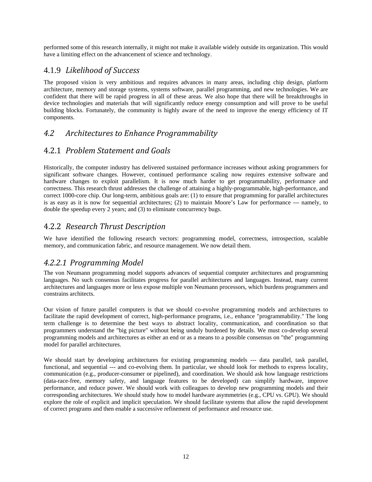performed some of this research internally, it might not make it available widely outside its organization. This would have a limiting effect on the advancement of science and technology.

#### 4.1.9 *Likelihood of Success*

The proposed vision is very ambitious and requires advances in many areas, including chip design, platform architecture, memory and storage systems, systems software, parallel programming, and new technologies. We are confident that there will be rapid progress in all of these areas. We also hope that there will be breakthroughs in device technologies and materials that will significantly reduce energy consumption and will prove to be useful building blocks. Fortunately, the community is highly aware of the need to improve the energy efficiency of IT components.

### *4.2 Architectures to Enhance Programmability*

#### 4.2.1 *Problem Statement and Goals*

Historically, the computer industry has delivered sustained performance increases without asking programmers for significant software changes. However, continued performance scaling now requires extensive software and hardware changes to exploit parallelism. It is now much harder to get programmability, performance and correctness. This research thrust addresses the challenge of attaining a highly-programmable, high-performance, and correct 1000-core chip. Our long-term, ambitious goals are: (1) to ensure that programming for parallel architectures is as easy as it is now for sequential architectures; (2) to maintain Moore's Law for performance --- namely, to double the speedup every 2 years; and (3) to eliminate concurrency bugs.

### 4.2.2 *Research Thrust Description*

We have identified the following research vectors: programming model, correctness, introspection, scalable memory, and communication fabric, and resource management. We now detail them.

### *4.2.2.1 Programming Model*

The von Neumann programming model supports advances of sequential computer architectures and programming languages. No such consensus facilitates progress for parallel architectures and languages. Instead, many current architectures and languages more or less expose multiple von Neumann processors, which burdens programmers and constrains architects.

Our vision of future parallel computers is that we should co-evolve programming models and architectures to facilitate the rapid development of correct, high-performance programs, i.e., enhance "programmability." The long term challenge is to determine the best ways to abstract locality, communication, and coordination so that programmers understand the "big picture" without being unduly burdened by details. We must co-develop several programming models and architectures as either an end or as a means to a possible consensus on "the" programming model for parallel architectures.

We should start by developing architectures for existing programming models --- data parallel, task parallel, functional, and sequential --- and co-evolving them. In particular, we should look for methods to express locality, communication (e.g., producer-consumer or pipelined), and coordination. We should ask how language restrictions (data-race-free, memory safety, and language features to be developed) can simplify hardware, improve performance, and reduce power. We should work with colleagues to develop new programming models and their corresponding architectures. We should study how to model hardware asymmetries (e.g., CPU vs. GPU). We should explore the role of explicit and implicit speculation. We should facilitate systems that allow the rapid development of correct programs and then enable a successive refinement of performance and resource use.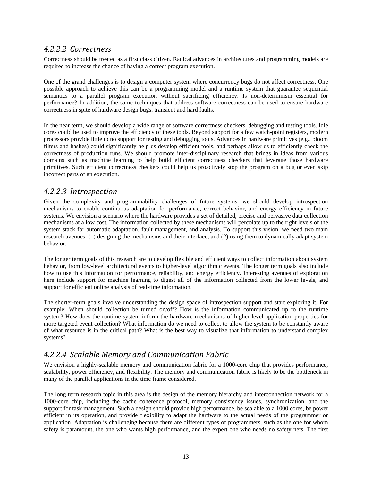#### *4.2.2.2 Correctness*

Correctness should be treated as a first class citizen. Radical advances in architectures and programming models are required to increase the chance of having a correct program execution.

One of the grand challenges is to design a computer system where concurrency bugs do not affect correctness. One possible approach to achieve this can be a programming model and a runtime system that guarantee sequential semantics to a parallel program execution without sacrificing efficiency. Is non-determinism essential for performance? In addition, the same techniques that address software correctness can be used to ensure hardware correctness in spite of hardware design bugs, transient and hard faults.

In the near term, we should develop a wide range of software correctness checkers, debugging and testing tools. Idle cores could be used to improve the efficiency of these tools. Beyond support for a few watch-point registers, modern processors provide little to no support for testing and debugging tools. Advances in hardware primitives (e.g., bloom filters and hashes) could significantly help us develop efficient tools, and perhaps allow us to efficiently check the correctness of production runs. We should promote inter-disciplinary research that brings in ideas from various domains such as machine learning to help build efficient correctness checkers that leverage those hardware primitives. Such efficient correctness checkers could help us proactively stop the program on a bug or even skip incorrect parts of an execution.

#### *4.2.2.3 Introspection*

Given the complexity and programmability challenges of future systems, we should develop introspection mechanisms to enable continuous adaptation for performance, correct behavior, and energy efficiency in future systems. We envision a scenario where the hardware provides a set of detailed, precise and pervasive data collection mechanisms at a low cost. The information collected by these mechanisms will percolate up to the right levels of the system stack for automatic adaptation, fault management, and analysis. To support this vision, we need two main research avenues: (1) designing the mechanisms and their interface; and (2) using them to dynamically adapt system behavior.

The longer term goals of this research are to develop flexible and efficient ways to collect information about system behavior, from low-level architectural events to higher-level algorithmic events. The longer term goals also include how to use this information for performance, reliability, and energy efficiency. Interesting avenues of exploration here include support for machine learning to digest all of the information collected from the lower levels, and support for efficient online analysis of real-time information.

The shorter-term goals involve understanding the design space of introspection support and start exploring it. For example: When should collection be turned on/off? How is the information communicated up to the runtime system? How does the runtime system inform the hardware mechanisms of higher-level application properties for more targeted event collection? What information do we need to collect to allow the system to be constantly aware of what resource is in the critical path? What is the best way to visualize that information to understand complex systems?

### *4.2.2.4 Scalable Memory and Communication Fabric*

We envision a highly-scalable memory and communication fabric for a 1000-core chip that provides performance, scalability, power efficiency, and flexibility. The memory and communication fabric is likely to be the bottleneck in many of the parallel applications in the time frame considered.

The long term research topic in this area is the design of the memory hierarchy and interconnection network for a 1000-core chip, including the cache coherence protocol, memory consistency issues, synchronization, and the support for task management. Such a design should provide high performance, be scalable to a 1000 cores, be power efficient in its operation, and provide flexibility to adapt the hardware to the actual needs of the programmer or application. Adaptation is challenging because there are different types of programmers, such as the one for whom safety is paramount, the one who wants high performance, and the expert one who needs no safety nets. The first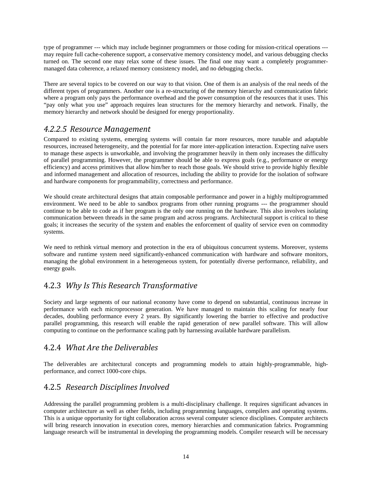type of programmer --- which may include beginner programmers or those coding for mission-critical operations -- may require full cache-coherence support, a conservative memory consistency model, and various debugging checks turned on. The second one may relax some of these issues. The final one may want a completely programmermanaged data coherence, a relaxed memory consistency model, and no debugging checks.

There are several topics to be covered on our way to that vision. One of them is an analysis of the real needs of the different types of programmers. Another one is a re-structuring of the memory hierarchy and communication fabric where a program only pays the performance overhead and the power consumption of the resources that it uses. This "pay only what you use" approach requires lean structures for the memory hierarchy and network. Finally, the memory hierarchy and network should be designed for energy proportionality.

#### *4.2.2.5 Resource Management*

Compared to existing systems, emerging systems will contain far more resources, more tunable and adaptable resources, increased heterogeneity, and the potential for far more inter-application interaction. Expecting naïve users to manage these aspects is unworkable, and involving the programmer heavily in them only increases the difficulty of parallel programming. However, the programmer should be able to express goals (e.g., performance or energy efficiency) and access primitives that allow him/her to reach those goals. We should strive to provide highly flexible and informed management and allocation of resources, including the ability to provide for the isolation of software and hardware components for programmability, correctness and performance.

We should create architectural designs that attain composable performance and power in a highly multiprogrammed environment. We need to be able to sandbox programs from other running programs --- the programmer should continue to be able to code as if her program is the only one running on the hardware. This also involves isolating communication between threads in the same program and across programs. Architectural support is critical to these goals; it increases the security of the system and enables the enforcement of quality of service even on commodity systems.

We need to rethink virtual memory and protection in the era of ubiquitous concurrent systems. Moreover, systems software and runtime system need significantly-enhanced communication with hardware and software monitors, managing the global environment in a heterogeneous system, for potentially diverse performance, reliability, and energy goals.

### 4.2.3 *Why Is This Research Transformative*

Society and large segments of our national economy have come to depend on substantial, continuous increase in performance with each microprocessor generation. We have managed to maintain this scaling for nearly four decades, doubling performance every 2 years. By significantly lowering the barrier to effective and productive parallel programming, this research will enable the rapid generation of new parallel software. This will allow computing to continue on the performance scaling path by harnessing available hardware parallelism.

### 4.2.4 *What Are the Deliverables*

The deliverables are architectural concepts and programming models to attain highly-programmable, highperformance, and correct 1000-core chips.

### 4.2.5 *Research Disciplines Involved*

Addressing the parallel programming problem is a multi-disciplinary challenge. It requires significant advances in computer architecture as well as other fields, including programming languages, compilers and operating systems. This is a unique opportunity for tight collaboration across several computer science disciplines. Computer architects will bring research innovation in execution cores, memory hierarchies and communication fabrics. Programming language research will be instrumental in developing the programming models. Compiler research will be necessary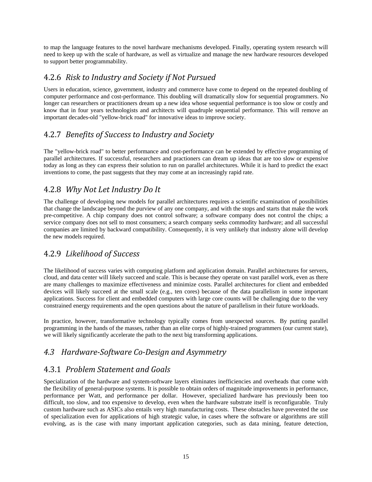to map the language features to the novel hardware mechanisms developed. Finally, operating system research will need to keep up with the scale of hardware, as well as virtualize and manage the new hardware resources developed to support better programmability.

#### 4.2.6 *Risk to Industry and Society if Not Pursued*

Users in education, science, government, industry and commerce have come to depend on the repeated doubling of computer performance and cost-performance. This doubling will dramatically slow for sequential programmers. No longer can researchers or practitioners dream up a new idea whose sequential performance is too slow or costly and know that in four years technologists and architects will quadruple sequential performance. This will remove an important decades-old "yellow-brick road" for innovative ideas to improve society.

### 4.2.7 *Benefits of Success to Industry and Society*

The "yellow-brick road" to better performance and cost-performance can be extended by effective programming of parallel architectures. If successful, researchers and practioners can dream up ideas that are too slow or expensive today as long as they can express their solution to run on parallel architectures. While it is hard to predict the exact inventions to come, the past suggests that they may come at an increasingly rapid rate.

### 4.2.8 *Why Not Let Industry Do It*

The challenge of developing new models for parallel architectures requires a scientific examination of possibilities that change the landscape beyond the purview of any one company, and with the stops and starts that make the work pre-competitive. A chip company does not control software; a software company does not control the chips; a service company does not sell to most consumers; a search company seeks commodity hardware; and all successful companies are limited by backward compatibility. Consequently, it is very unlikely that industry alone will develop the new models required.

### 4.2.9 *Likelihood of Success*

The likelihood of success varies with computing platform and application domain. Parallel architectures for servers, cloud, and data center will likely succeed and scale. This is because they operate on vast parallel work, even as there are many challenges to maximize effectiveness and minimize costs. Parallel architectures for client and embedded devices will likely succeed at the small scale (e.g., ten cores) because of the data parallelism in some important applications. Success for client and embedded computers with large core counts will be challenging due to the very constrained energy requirements and the open questions about the nature of parallelism in their future workloads.

In practice, however, transformative technology typically comes from unexpected sources. By putting parallel programming in the hands of the masses, rather than an elite corps of highly-trained programmers (our current state), we will likely significantly accelerate the path to the next big transforming applications.

### *4.3 HardwareSoftware CoDesign and Asymmetry*

### 4.3.1 *Problem Statement and Goals*

Specialization of the hardware and system-software layers eliminates inefficiencies and overheads that come with the flexibility of general-purpose systems. It is possible to obtain orders of magnitude improvements in performance, performance per Watt, and performance per dollar. However, specialized hardware has previously been too difficult, too slow, and too expensive to develop, even when the hardware substrate itself is reconfigurable. Truly custom hardware such as ASICs also entails very high manufacturing costs. These obstacles have prevented the use of specialization even for applications of high strategic value, in cases where the software or algorithms are still evolving, as is the case with many important application categories, such as data mining, feature detection,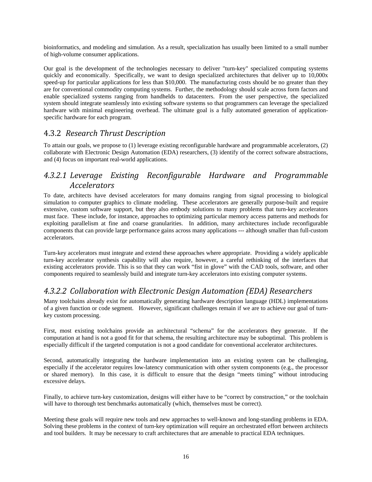bioinformatics, and modeling and simulation. As a result, specialization has usually been limited to a small number of high-volume consumer applications.

Our goal is the development of the technologies necessary to deliver "turn-key" specialized computing systems quickly and economically. Specifically, we want to design specialized architectures that deliver up to 10,000x speed-up for particular applications for less than \$10,000. The manufacturing costs should be no greater than they are for conventional commodity computing systems. Further, the methodology should scale across form factors and enable specialized systems ranging from handhelds to datacenters. From the user perspective, the specialized system should integrate seamlessly into existing software systems so that programmers can leverage the specialized hardware with minimal engineering overhead. The ultimate goal is a fully automated generation of applicationspecific hardware for each program.

#### 4.3.2 *Research Thrust Description*

To attain our goals, we propose to (1) leverage existing reconfigurable hardware and programmable accelerators, (2) collaborate with Electronic Design Automation (EDA) researchers, (3) identify of the correct software abstractions, and (4) focus on important real-world applications.

### *4.3.2.1 Leverage Existing Reconfigurable Hardware and Programmable Accelerators*

To date, architects have devised accelerators for many domains ranging from signal processing to biological simulation to computer graphics to climate modeling. These accelerators are generally purpose-built and require extensive, custom software support, but they also embody solutions to many problems that turn-key accelerators must face. These include, for instance, approaches to optimizing particular memory access patterns and methods for exploiting parallelism at fine and coarse granularities. In addition, many architectures include reconfigurable components that can provide large performance gains across many applications --- although smaller than full-custom accelerators.

Turn-key accelerators must integrate and extend these approaches where appropriate. Providing a widely applicable turn-key accelerator synthesis capability will also require, however, a careful rethinking of the interfaces that existing accelerators provide. This is so that they can work "fist in glove" with the CAD tools, software, and other components required to seamlessly build and integrate turn-key accelerators into existing computer systems.

#### *4.3.2.2 Collaboration with Electronic Design Automation (EDA) Researchers*

Many toolchains already exist for automatically generating hardware description language (HDL) implementations of a given function or code segment. However, significant challenges remain if we are to achieve our goal of turnkey custom processing.

First, most existing toolchains provide an architectural "schema" for the accelerators they generate. If the computation at hand is not a good fit for that schema, the resulting architecture may be suboptimal. This problem is especially difficult if the targeted computation is not a good candidate for conventional accelerator architectures.

Second, automatically integrating the hardware implementation into an existing system can be challenging, especially if the accelerator requires low-latency communication with other system components (e.g., the processor or shared memory). In this case, it is difficult to ensure that the design "meets timing" without introducing excessive delays.

Finally, to achieve turn-key customization, designs will either have to be "correct by construction," or the toolchain will have to thorough test benchmarks automatically (which, themselves must be correct).

Meeting these goals will require new tools and new approaches to well-known and long-standing problems in EDA. Solving these problems in the context of turn-key optimization will require an orchestrated effort between architects and tool builders. It may be necessary to craft architectures that are amenable to practical EDA techniques.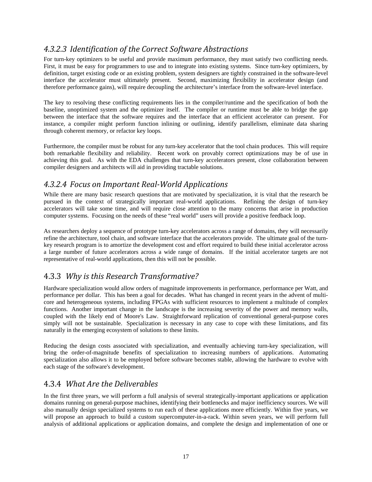### *4.3.2.3 Identification of the Correct Software Abstractions*

For turn-key optimizers to be useful and provide maximum performance, they must satisfy two conflicting needs. First, it must be easy for programmers to use and to integrate into existing systems. Since turn-key optimizers, by definition, target existing code or an existing problem, system designers are tightly constrained in the software-level interface the accelerator must ultimately present. Second, maximizing flexibility in accelerator design (and therefore performance gains), will require decoupling the architecture's interface from the software-level interface.

The key to resolving these conflicting requirements lies in the compiler/runtime and the specification of both the baseline, unoptimized system and the optimizer itself. The compiler or runtime must be able to bridge the gap between the interface that the software requires and the interface that an efficient accelerator can present. For instance, a compiler might perform function inlining or outlining, identify parallelism, eliminate data sharing through coherent memory, or refactor key loops.

Furthermore, the compiler must be robust for any turn-key accelerator that the tool chain produces. This will require both remarkable flexibility and reliability. Recent work on provably correct optimizations may be of use in achieving this goal. As with the EDA challenges that turn-key accelerators present, close collaboration between compiler designers and architects will aid in providing tractable solutions.

#### *4.3.2.4 Focus on Important RealWorld Applications*

While there are many basic research questions that are motivated by specialization, it is vital that the research be pursued in the context of strategically important real-world applications. Refining the design of turn-key accelerators will take some time, and will require close attention to the many concerns that arise in production computer systems. Focusing on the needs of these "real world" users will provide a positive feedback loop.

As researchers deploy a sequence of prototype turn-key accelerators across a range of domains, they will necessarily refine the architecture, tool chain, and software interface that the accelerators provide. The ultimate goal of the turnkey research program is to amortize the development cost and effort required to build these initial accelerator across a large number of future accelerators across a wide range of domains. If the initial accelerator targets are not representative of real-world applications, then this will not be possible.

#### 4.3.3 *Why is this Research Transformative?*

Hardware specialization would allow orders of magnitude improvements in performance, performance per Watt, and performance per dollar. This has been a goal for decades. What has changed in recent years in the advent of multicore and heterogeneous systems, including FPGAs with sufficient resources to implement a multitude of complex functions. Another important change in the landscape is the increasing severity of the power and memory walls, coupled with the likely end of Moore's Law. Straightforward replication of conventional general-purpose cores simply will not be sustainable. Specialization is necessary in any case to cope with these limitations, and fits naturally in the emerging ecosystem of solutions to these limits.

Reducing the design costs associated with specialization, and eventually achieving turn-key specialization, will bring the order-of-magnitude benefits of specialization to increasing numbers of applications. Automating specialization also allows it to be employed before software becomes stable, allowing the hardware to evolve with each stage of the software's development.

### 4.3.4 *What Are the Deliverables*

In the first three years, we will perform a full analysis of several strategically-important applications or application domains running on general-purpose machines, identifying their bottlenecks and major inefficiency sources. We will also manually design specialized systems to run each of these applications more efficiently. Within five years, we will propose an approach to build a custom supercomputer-in-a-rack. Within seven years, we will perform full analysis of additional applications or application domains, and complete the design and implementation of one or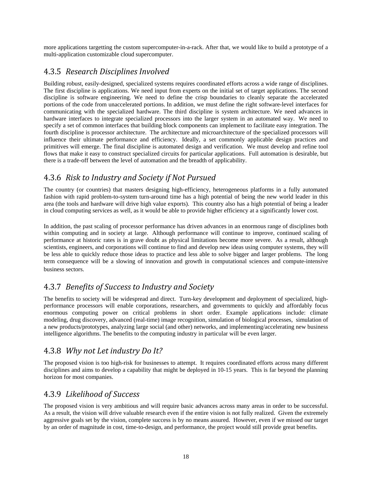more applications targetting the custom supercomputer-in-a-rack. After that, we would like to build a prototype of a multi-application customizable cloud supercomputer.

### 4.3.5 *Research Disciplines Involved*

Building robust, easily-designed, specialized systems requires coordinated efforts across a wide range of disciplines. The first discipline is applications. We need input from experts on the initial set of target applications. The second discipline is software engineering. We need to define the crisp boundaries to cleanly separate the accelerated portions of the code from unaccelerated portions. In addition, we must define the right software-level interfaces for communicating with the specialized hardware. The third discipline is system architecture. We need advances in hardware interfaces to integrate specialized processors into the larger system in an automated way. We need to specify a set of common interfaces that building block components can implement to facilitate easy integration. The fourth discipline is processor architecture. The architecture and microarchitecture of the specialized processors will influence their ultimate performance and efficiency. Ideally, a set commonly applicable design practices and primitives will emerge. The final discipline is automated design and verification. We must develop and refine tool flows that make it easy to construct specialized circuits for particular applications. Full automation is desirable, but there is a trade-off between the level of automation and the breadth of applicability.

### 4.3.6 *Risk to Industry and Society if Not Pursued*

The country (or countries) that masters designing high-efficiency, heterogeneous platforms in a fully automated fashion with rapid problem-to-system turn-around time has a high potential of being the new world leader in this area (the tools and hardware will drive high value exports). This country also has a high potential of being a leader in cloud computing services as well, as it would be able to provide higher efficiency at a significantly lower cost.

In addition, the past scaling of processor performance has driven advances in an enormous range of disciplines both within computing and in society at large. Although performance will continue to improve, continued scaling of performance at historic rates is in grave doubt as physical limitations become more severe. As a result, although scientists, engineers, and corporations will continue to find and develop new ideas using computer systems, they will be less able to quickly reduce those ideas to practice and less able to solve bigger and larger problems. The long term consequence will be a slowing of innovation and growth in computational sciences and compute-intensive business sectors.

### 4.3.7 *Benefits of Success to Industry and Society*

The benefits to society will be widespread and direct. Turn-key development and deployment of specialized, highperformance processors will enable corporations, researchers, and governments to quickly and affordably focus enormous computing power on critical problems in short order. Example applications include: climate modeling, drug discovery, advanced (real-time) image recognition, simulation of biological processes, simulation of a new products/prototypes, analyzing large social (and other) networks, and implementing/accelerating new business intelligence algorithms. The benefits to the computing industry in particular will be even larger.

### 4.3.8 *Why not Let industry Do It?*

The proposed vision is too high-risk for businesses to attempt. It requires coordinated efforts across many different disciplines and aims to develop a capability that might be deployed in 10-15 years. This is far beyond the planning horizon for most companies.

### 4.3.9 *Likelihood of Success*

The proposed vision is very ambitious and will require basic advances across many areas in order to be successful. As a result, the vision will drive valuable research even if the entire vision is not fully realized. Given the extremely aggressive goals set by the vision, complete success is by no means assured. However, even if we missed our target by an order of magnitude in cost, time-to-design, and performance, the project would still provide great benefits.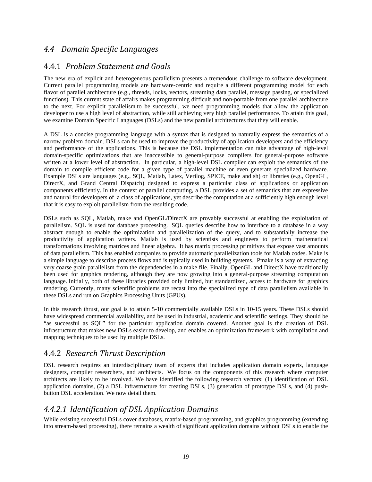### *4.4 Domain Specific Languages*

#### 4.4.1 *Problem Statement and Goals*

The new era of explicit and heterogeneous parallelism presents a tremendous challenge to software development. Current parallel programming models are hardware-centric and require a different programming model for each flavor of parallel architecture (e.g., threads, locks, vectors, streaming data parallel, message passing, or specialized functions). This current state of affairs makes programming difficult and non-portable from one parallel architecture to the next. For explicit parallelism to be successful, we need programming models that allow the application developer to use a high level of abstraction, while still achieving very high parallel performance. To attain this goal, we examine Domain Specific Languages (DSLs) and the new parallel architectures that they will enable.

A DSL is a concise programming language with a syntax that is designed to naturally express the semantics of a narrow problem domain. DSLs can be used to improve the productivity of application developers and the efficiency and performance of the applications. This is because the DSL implementation can take advantage of high-level domain-specific optimizations that are inaccessible to general-purpose compilers for general-purpose software written at a lower level of abstraction. In particular, a high-level DSL compiler can exploit the semantics of the domain to compile efficient code for a given type of parallel machine or even generate specialized hardware. Example DSLs are languages (e.g., SQL, Matlab, Latex, Verilog, SPICE, make and sh) or libraries (e.g., OpenGL, DirectX, and Grand Central Dispatch) designed to express a particular class of applications or application components efficiently. In the context of parallel computing, a DSL provides a set of semantics that are expressive and natural for developers of a class of applications, yet describe the computation at a sufficiently high enough level that it is easy to exploit parallelism from the resulting code.

DSLs such as SQL, Matlab, make and OpenGL/DirectX are provably successful at enabling the exploitation of parallelism. SQL is used for database processing. SQL queries describe how to interface to a database in a way abstract enough to enable the optimization and parallelization of the query, and to substantially increase the productivity of application writers. Matlab is used by scientists and engineers to perform mathematical transformations involving matrices and linear algebra. It has matrix processing primitives that expose vast amounts of data parallelism. This has enabled companies to provide automatic parallelization tools for Matlab codes. Make is a simple language to describe process flows and is typically used in building systems. Pmake is a way of extracting very coarse grain parallelism from the dependencies in a make file. Finally, OpenGL and DirectX have traditionally been used for graphics rendering, although they are now growing into a general-purpose streaming computation language. Initially, both of these libraries provided only limited, but standardized, access to hardware for graphics rendering. Currently, many scientific problems are recast into the specialized type of data parallelism available in these DSLs and run on Graphics Processing Units (GPUs).

In this research thrust, our goal is to attain 5-10 commercially available DSLs in 10-15 years. These DSLs should have widespread commercial availability, and be used in industrial, academic and scientific settings. They should be "as successful as SQL" for the particular application domain covered. Another goal is the creation of DSL infrastructure that makes new DSLs easier to develop, and enables an optimization framework with compilation and mapping techniques to be used by multiple DSLs.

#### 4.4.2 *Research Thrust Description*

DSL research requires an interdisciplinary team of experts that includes application domain experts, language designers, compiler researchers, and architects. We focus on the components of this research where computer architects are likely to be involved. We have identified the following research vectors: (1) identification of DSL application domains, (2) a DSL infrastructure for creating DSLs, (3) generation of prototype DSLs, and (4) pushbutton DSL acceleration. We now detail them.

### *4.4.2.1 Identification of DSL Application Domains*

While existing successful DSLs cover databases, matrix-based programming, and graphics programming (extending into stream-based processing), there remains a wealth of significant application domains without DSLs to enable the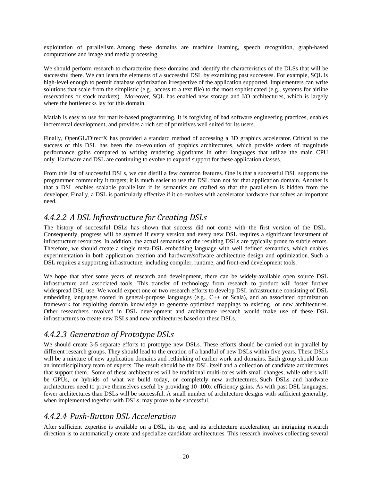exploitation of parallelism. Among these domains are machine learning, speech recognition, graph-based computations and image and media processing.

We should perform research to characterize these domains and identify the characteristics of the DLSs that will be successful there. We can learn the elements of a successful DSL by examining past successes. For example, SQL is high-level enough to permit database optimization irrespective of the application supported. Implementers can write solutions that scale from the simplistic (e.g., access to a text file) to the most sophisticated (e.g., systems for airline reservations or stock markets). Moreover, SQL has enabled new storage and I/O architectures, which is largely where the bottlenecks lay for this domain.

Matlab is easy to use for matrix-based programming. It is forgiving of bad software engineering practices, enables incremental development, and provides a rich set of primitives well suited for its users.

Finally, OpenGL/DirectX has provided a standard method of accessing a 3D graphics accelerator. Critical to the success of this DSL has been the co-evolution of graphics architectures, which provide orders of magnitude performance gains compared to writing rendering algorithms in other languages that utilize the main CPU only. Hardware and DSL are continuing to evolve to expand support for these application classes.

From this list of successful DSLs, we can distill a few common features. One is that a successful DSL supports the programmer community it targets; it is much easier to use the DSL than not for that application domain. Another is that a DSL enables scalable parallelism if its semantics are crafted so that the parallelism is hidden from the developer. Finally, a DSL is particularly effective if it co-evolves with accelerator hardware that solves an important need.

### *4.4.2.2 A DSL Infrastructure for Creating DSLs*

The history of successful DSLs has shown that success did not come with the first version of the DSL. Consequently, progress will be stymied if every version and every new DSL requires a significant investment of infrastructure resources. In addition, the actual semantics of the resulting DSLs are typically prone to subtle errors. Therefore, we should create a single meta-DSL embedding language with well defined semantics, which enables experimentation in both application creation and hardware/software architecture design and optimization. Such a DSL requires a supporting infrastructure, including compiler, runtime, and front-end development tools.

We hope that after some years of research and development, there can be widely-available open source DSL infrastructure and associated tools. This transfer of technology from research to product will foster further widespread DSL use. We would expect one or two research efforts to develop DSL infrastructure consisting of DSL embedding languages rooted in general-purpose languages (e.g., C++ or Scala), and an associated optimization framework for exploiting domain knowledge to generate optimized mappings to existing or new architectures. Other researchers involved in DSL development and architecture research would make use of these DSL infrastructures to create new DSLs and new architectures based on these DSLs.

### *4.4.2.3 Generation of Prototype DSLs*

We should create 3-5 separate efforts to prototype new DSLs. These efforts should be carried out in parallel by different research groups. They should lead to the creation of a handful of new DSLs within five years. These DSLs will be a mixture of new application domains and rethinking of earlier work and domains. Each group should form an interdisciplinary team of experts. The result should be the DSL itself and a collection of candidate architectures that support them. Some of these architectures will be traditional multi-cores with small changes, while others will be GPUs, or hybrids of what we build today, or completely new architectures. Such DSLs and hardware architectures need to prove themselves useful by providing 10–100x efficiency gains. As with past DSL languages, fewer architectures than DSLs will be successful. A small number of architecture designs with sufficient generality, when implemented together with DSLs, may prove to be successful.

#### *4.4.2.4 PushButton DSL Acceleration*

After sufficient expertise is available on a DSL, its use, and its architecture acceleration, an intriguing research direction is to automatically create and specialize candidate architectures. This research involves collecting several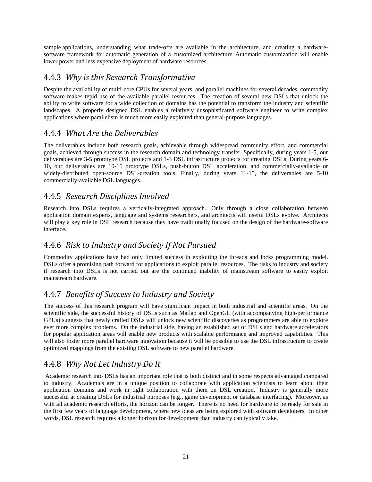sample applications, understanding what trade-offs are available in the architecture, and creating a hardwaresoftware framework for automatic generation of a customized architecture. Automatic customization will enable lower power and less expensive deployment of hardware resources.

#### 4.4.3 *Why is this Research Transformative*

Despite the availability of multi-core CPUs for several years, and parallel machines for several decades, commodity software makes tepid use of the available parallel resources. The creation of several new DSLs that unlock the ability to write software for a wide collection of domains has the potential to transform the industry and scientific landscapes. A properly designed DSL enables a relatively unsophisticated software engineer to write complex applications where parallelism is much more easily exploited than general-purpose languages.

#### 4.4.4 *What Are the Deliverables*

The deliverables include both research goals, achievable through widespread community effort, and commercial goals, achieved through success in the research domain and technology transfer. Specifically, during years 1-5, our deliverables are 3-5 prototype DSL projects and 1-3 DSL infrastructure projects for creating DSLs. During years 6- 10, our deliverables are 10-15 prototype DSLs, push-button DSL acceleration, and commercially-available or widely-distributed open-source DSL-creation tools. Finally, during years 11-15, the deliverables are 5-10 commercially-available DSL languages.

#### 4.4.5 *Research Disciplines Involved*

Research into DSLs requires a vertically-integrated approach. Only through a close collaboration between application domain experts, language and systems researchers, and architects will useful DSLs evolve. Architects will play a key role in DSL research because they have traditionally focused on the design of the hardware-software interface.

#### 4.4.6 *Risk to Industry and Society If Not Pursued*

Commodity applications have had only limited success in exploiting the threads and locks programming model. DSLs offer a promising path forward for applications to exploit parallel resources. The risks to industry and society if research into DSLs is not carried out are the continued inability of mainstream software to easily exploit mainstream hardware.

### 4.4.7 *Benefits of Success to Industry and Society*

The success of this research program will have significant impact in both industrial and scientific areas. On the scientific side, the successful history of DSLs such as Matlab and OpenGL (with accompanying high-performance GPUs) suggests that newly crafted DSLs will unlock new scientific discoveries as programmers are able to explore ever more complex problems. On the industrial side, having an established set of DSLs and hardware accelerators for popular application areas will enable new products with scalable performance and improved capabilities. This will also foster more parallel hardware innovation because it will be possible to use the DSL infrastructure to create optimized mappings from the existing DSL software to new parallel hardware.

### 4.4.8 *Why Not Let Industry Do It*

 Academic research into DSLs has an important role that is both distinct and in some respects advantaged compared to industry. Academics are in a unique position to collaborate with application scientists to learn about their application domains and work in tight collaboration with them on DSL creation. Industry is generally more successful at creating DSLs for industrial purposes (e.g., game development or database interfacing). Moreover, as with all academic research efforts, the horizon can be longer. There is no need for hardware to be ready for sale in the first few years of language development, where new ideas are being explored with software developers. In other words, DSL research requires a longer horizon for development than industry can typically take.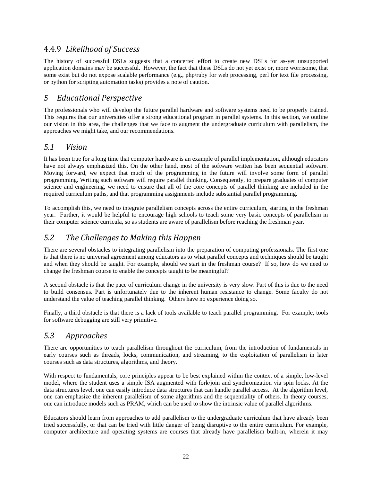### 4.4.9 *Likelihood of Success*

The history of successful DSLs suggests that a concerted effort to create new DSLs for as-yet unsupported application domains may be successful. However, the fact that these DSLs do not yet exist or, more worrisome, that some exist but do not expose scalable performance (e.g., php/ruby for web processing, perl for text file processing, or python for scripting automation tasks) provides a note of caution.

### *5 Educational Perspective*

The professionals who will develop the future parallel hardware and software systems need to be properly trained. This requires that our universities offer a strong educational program in parallel systems. In this section, we outline our vision in this area, the challenges that we face to augment the undergraduate curriculum with parallelism, the approaches we might take, and our recommendations.

#### *5.1 Vision*

It has been true for a long time that computer hardware is an example of parallel implementation, although educators have not always emphasized this. On the other hand, most of the software written has been sequential software. Moving forward, we expect that much of the programming in the future will involve some form of parallel programming. Writing such software will require parallel thinking. Consequently, to prepare graduates of computer science and engineering, we need to ensure that all of the core concepts of parallel thinking are included in the required curriculum paths, and that programming assignments include substantial parallel programming.

To accomplish this, we need to integrate parallelism concepts across the entire curriculum, starting in the freshman year. Further, it would be helpful to encourage high schools to teach some very basic concepts of parallelism in their computer science curricula, so as students are aware of parallelism before reaching the freshman year.

### *5.2 The Challenges to Making this Happen*

There are several obstacles to integrating parallelism into the preparation of computing professionals. The first one is that there is no universal agreement among educators as to what parallel concepts and techniques should be taught and when they should be taught. For example, should we start in the freshman course? If so, how do we need to change the freshman course to enable the concepts taught to be meaningful?

A second obstacle is that the pace of curriculum change in the university is very slow. Part of this is due to the need to build consensus. Part is unfortunately due to the inherent human resistance to change. Some faculty do not understand the value of teaching parallel thinking. Others have no experience doing so.

Finally, a third obstacle is that there is a lack of tools available to teach parallel programming. For example, tools for software debugging are still very primitive.

### *5.3 Approaches*

There are opportunities to teach parallelism throughout the curriculum, from the introduction of fundamentals in early courses such as threads, locks, communication, and streaming, to the exploitation of parallelism in later courses such as data structures, algorithms, and theory.

With respect to fundamentals, core principles appear to be best explained within the context of a simple, low-level model, where the student uses a simple ISA augmented with fork/join and synchronization via spin locks. At the data structures level, one can easily introduce data structures that can handle parallel access. At the algorithm level, one can emphasize the inherent parallelism of some algorithms and the sequentiality of others. In theory courses, one can introduce models such as PRAM, which can be used to show the intrinsic value of parallel algorithms.

Educators should learn from approaches to add parallelism to the undergraduate curriculum that have already been tried successfully, or that can be tried with little danger of being disruptive to the entire curriculum. For example, computer architecture and operating systems are courses that already have parallelism built-in, wherein it may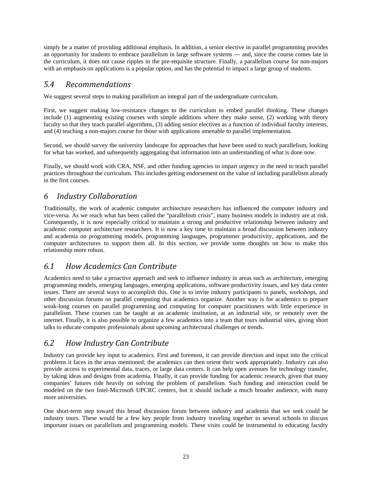simply be a matter of providing additional emphasis. In addition, a senior elective in parallel programming provides an opportunity for students to embrace parallelism in large software systems --- and, since the course comes late in the curriculum, it does not cause ripples in the pre-requisite structure. Finally, a parallelism course for non-majors with an emphasis on applications is a popular option, and has the potential to impact a large group of students.

#### *5.4 Recommendations*

We suggest several steps to making parallelism an integral part of the undergraduate curriculum.

First, we suggest making low-resistance changes to the curriculum to embed parallel thinking. These changes include (1) augmenting existing courses with simple additions where they make sense, (2) working with theory faculty so that they teach parallel algorithms, (3) adding senior electives as a function of individual faculty interests, and (4) teaching a non-majors course for those with applications amenable to parallel implementation.

Second, we should survey the university landscape for approaches that have been used to teach parallelism, looking for what has worked, and subsequently aggregating that information into an understanding of what is done now.

Finally, we should work with CRA, NSF, and other funding agencies to impart urgency in the need to teach parallel practices throughout the curriculum. This includes getting endorsement on the value of including parallelism already in the first courses.

#### *6 Industry Collaboration*

Traditionally, the work of academic computer architecture researchers has influenced the computer industry and vice-versa. As we reach what has been called the "parallelism crisis", many business models in industry are at risk. Consequently, it is now especially critical to maintain a strong and productive relationship between industry and academic computer architecture researchers. It is now a key time to maintain a broad discussion between industry and academia on programming models, programming languages, programmer productivity, applications, and the computer architectures to support them all. In this section, we provide some thoughts on how to make this relationship more robust.

### *6.1 How Academics Can Contribute*

Academics need to take a proactive approach and seek to influence industry in areas such as architecture, emerging programming models, emerging languages, emerging applications, software productivity issues, and key data center issues. There are several ways to accomplish this. One is to invite industry participants to panels, workshops, and other discussion forums on parallel computing that academics organize. Another way is for academics to prepare weak-long courses on parallel programming and computing for computer practitioners with little experience in parallelism. These courses can be taught at an academic institution, at an industrial site, or remotely over the internet. Finally, it is also possible to organize a few academics into a team that tours industrial sites, giving short talks to educate computer professionals about upcoming architectural challenges or trends.

#### *6.2 How Industry Can Contribute*

Industry can provide key input to academics. First and foremost, it can provide direction and input into the critical problems it faces in the areas mentioned; the academics can then orient their work appropriately. Industry can also provide access to experimental data, traces, or large data centers. It can help open avenues for technology transfer, by taking ideas and designs from academia. Finally, it can provide funding for academic research, given that many companies' futures ride heavily on solving the problem of parallelism. Such funding and interaction could be modeled on the two Intel-Microsoft UPCRC centers, but it should include a much broader audience, with many more universities.

One short-term step toward this broad discussion forum between industry and academia that we seek could be industry tours. These would be a few key people from industry traveling together to several schools to discuss important issues on parallelism and programming models. These visits could be instrumental to educating faculty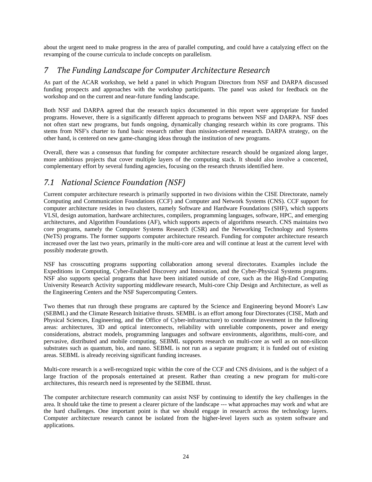about the urgent need to make progress in the area of parallel computing, and could have a catalyzing effect on the revamping of the course curricula to include concepts on parallelism.

#### *7 The Funding Landscape for Computer Architecture Research*

As part of the ACAR workshop, we held a panel in which Program Directors from NSF and DARPA discussed funding prospects and approaches with the workshop participants. The panel was asked for feedback on the workshop and on the current and near-future funding landscape.

Both NSF and DARPA agreed that the research topics documented in this report were appropriate for funded programs. However, there is a significantly different approach to programs between NSF and DARPA. NSF does not often start new programs, but funds ongoing, dynamically changing research within its core programs. This stems from NSF's charter to fund basic research rather than mission-oriented research. DARPA strategy, on the other hand, is centered on new game-changing ideas through the institution of new programs.

Overall, there was a consensus that funding for computer architecture research should be organized along larger, more ambitious projects that cover multiple layers of the computing stack. It should also involve a concerted, complementary effort by several funding agencies, focusing on the research thrusts identified here.

#### *7.1 National Science Foundation (NSF)*

Current computer architecture research is primarily supported in two divisions within the CISE Directorate, namely Computing and Communication Foundations (CCF) and Computer and Network Systems (CNS). CCF support for computer architecture resides in two clusters, namely Software and Hardware Foundations (SHF), which supports VLSI, design automation, hardware architectures, compilers, programming languages, software, HPC, and emerging architectures, and Algorithm Foundations (AF), which supports aspects of algorithms research. CNS maintains two core programs, namely the Computer Systems Research (CSR) and the Networking Technology and Systems (NeTS) programs. The former supports computer architecture research. Funding for computer architecture research increased over the last two years, primarily in the multi-core area and will continue at least at the current level with possibly moderate growth.

NSF has crosscutting programs supporting collaboration among several directorates. Examples include the Expeditions in Computing, Cyber-Enabled Discovery and Innovation, and the Cyber-Physical Systems programs. NSF also supports special programs that have been initiated outside of core, such as the High-End Computing University Research Activity supporting middleware research, Multi-core Chip Design and Architecture, as well as the Engineering Centers and the NSF Supercomputing Centers.

Two themes that run through these programs are captured by the Science and Engineering beyond Moore's Law (SEBML) and the Climate Research Initiative thrusts. SEMBL is an effort among four Directorates (CISE, Math and Physical Sciences, Engineering, and the Office of Cyber-infrastructure) to coordinate investment in the following areas: architectures, 3D and optical interconnects, reliability with unreliable components, power and energy considerations, abstract models, programming languages and software environments, algorithms, multi-core, and pervasive, distributed and mobile computing. SEBML supports research on multi-core as well as on non-silicon substrates such as quantum, bio, and nano. SEBML is not run as a separate program; it is funded out of existing areas. SEBML is already receiving significant funding increases.

Multi-core research is a well-recognized topic within the core of the CCF and CNS divisions, and is the subject of a large fraction of the proposals entertained at present. Rather than creating a new program for multi-core architectures, this research need is represented by the SEBML thrust.

The computer architecture research community can assist NSF by continuing to identify the key challenges in the area. It should take the time to present a clearer picture of the landscape --- what approaches may work and what are the hard challenges. One important point is that we should engage in research across the technology layers. Computer architecture research cannot be isolated from the higher-level layers such as system software and applications.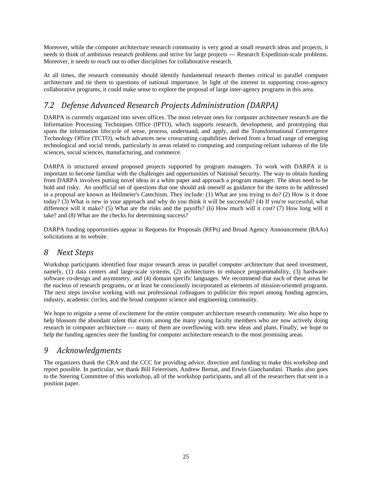Moreover, while the computer architecture research community is very good at small research ideas and projects, it needs to think of ambitious research problems and strive for large projects --- Research Expedition-scale problems. Moreover, it needs to reach out to other disciplines for collaborative research.

At all times, the research community should identify fundamental research themes critical to parallel computer architecture and tie them to questions of national importance. In light of the interest in supporting cross-agency collaborative programs, it could make sense to explore the proposal of large inter-agency programs in this area.

### *7.2 Defense Advanced Research Projects Administration (DARPA)*

DARPA is currently organized into seven offices. The most relevant ones for computer architecture research are the Information Processing Techniques Office (IPTO), which supports research, development, and prototyping that spans the information lifecycle of sense, process, understand, and apply, and the Transformational Convergence Technology Office (TCTO), which advances new crosscutting capabilities derived from a broad range of emerging technological and social trends, particularly in areas related to computing and computing-reliant subareas of the life sciences, social sciences, manufacturing, and commerce.

DARPA is structured around proposed projects supported by program managers. To work with DARPA it is important to become familiar with the challenges and opportunities of National Security. The way to obtain funding from DARPA involves putting novel ideas in a white paper and approach a program manager. The ideas need to be bold and risky. An unofficial set of questions that one should ask oneself as guidance for the items to be addressed in a proposal are known as Heilmeier's Catechism. They include: (1) What are you trying to do? (2) How is it done today? (3) What is new in your approach and why do you think it will be successful? (4) If you're successful, what difference will it make? (5) What are the risks and the payoffs? (6) How much will it cost? (7) How long will it take? and (8) What are the checks for determining success?

DARPA funding opportunities appear in Requests for Proposals (RFPs) and Broad Agency Announcement (BAAs) solicitations at its website.

### *8 Next Steps*

Workshop participants identified four major research areas in parallel computer architecture that need investment, namely, (1) data centers and large-scale systems, (2) architectures to enhance programmability, (3) hardwaresoftware co-design and asymmetry, and (4) domain specific languages. We recommend that each of these areas be the nucleus of research programs, or at least be consciously incorporated as elements of mission-oriented programs. The next steps involve working with our professional colleagues to publicize this report among funding agencies, industry, academic circles, and the broad computer science and engineering community.

We hope to reignite a sense of excitement for the entire computer architecture research community. We also hope to help blossom the abundant talent that exists among the many young faculty members who are now actively doing research in computer architecture --- many of them are overflowing with new ideas and plans. Finally, we hope to help the funding agencies steer the funding for computer architecture research to the most promising areas.

### *9 Acknowledgments*

The organizers thank the CRA and the CCC for providing advice, direction and funding to make this workshop and report possible. In particular, we thank Bill Feiereisen, Andrew Bernat, and Erwin Gianchandani. Thanks also goes to the Steering Committee of this workshop, all of the workshop participants, and all of the researchers that sent in a position paper.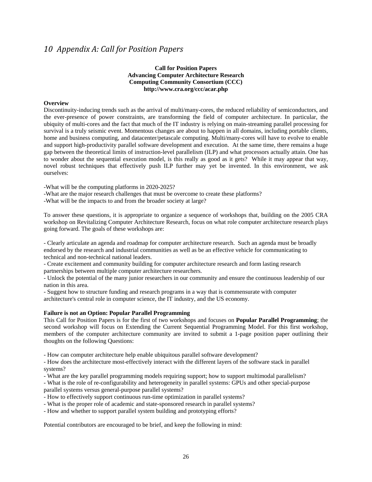#### *10 Appendix A: Call for Position Papers*

#### **Call for Position Papers Advancing Computer Architecture Research Computing Community Consortium (CCC) http://www.cra.org/ccc/acar.php**

#### **Overview**

Discontinuity-inducing trends such as the arrival of multi/many-cores, the reduced reliability of semiconductors, and the ever-presence of power constraints, are transforming the field of computer architecture. In particular, the ubiquity of multi-cores and the fact that much of the IT industry is relying on main-streaming parallel processing for survival is a truly seismic event. Momentous changes are about to happen in all domains, including portable clients, home and business computing, and datacenter/petascale computing. Multi/many-cores will have to evolve to enable and support high-productivity parallel software development and execution. At the same time, there remains a huge gap between the theoretical limits of instruction-level parallelism (ILP) and what processors actually attain. One has to wonder about the sequential execution model, is this really as good as it gets? While it may appear that way, novel robust techniques that effectively push ILP further may yet be invented. In this environment, we ask ourselves:

-What will be the computing platforms in 2020-2025?

-What are the major research challenges that must be overcome to create these platforms?

-What will be the impacts to and from the broader society at large?

To answer these questions, it is appropriate to organize a sequence of workshops that, building on the 2005 CRA workshop on Revitalizing Computer Architecture Research, focus on what role computer architecture research plays going forward. The goals of these workshops are:

- Clearly articulate an agenda and roadmap for computer architecture research. Such an agenda must be broadly endorsed by the research and industrial communities as well as be an effective vehicle for communicating to technical and non-technical national leaders.

- Create excitement and community building for computer architecture research and form lasting research partnerships between multiple computer architecture researchers.

- Unlock the potential of the many junior researchers in our community and ensure the continuous leadership of our nation in this area.

- Suggest how to structure funding and research programs in a way that is commensurate with computer architecture's central role in computer science, the IT industry, and the US economy.

#### **Failure is not an Option: Popular Parallel Programming**

This Call for Position Papers is for the first of two workshops and focuses on **Popular Parallel Programming**; the second workshop will focus on Extending the Current Sequential Programming Model. For this first workshop, members of the computer architecture community are invited to submit a 1-page position paper outlining their thoughts on the following Questions:

- How can computer architecture help enable ubiquitous parallel software development?

- How does the architecture most-effectively interact with the different layers of the software stack in parallel systems?

- What are the key parallel programming models requiring support; how to support multimodal parallelism?

- What is the role of re-configurability and heterogeneity in parallel systems: GPUs and other special-purpose parallel systems versus general-purpose parallel systems?

- How to effectively support continuous run-time optimization in parallel systems?

- What is the proper role of academic and state-sponsored research in parallel systems?

- How and whether to support parallel system building and prototyping efforts?

Potential contributors are encouraged to be brief, and keep the following in mind: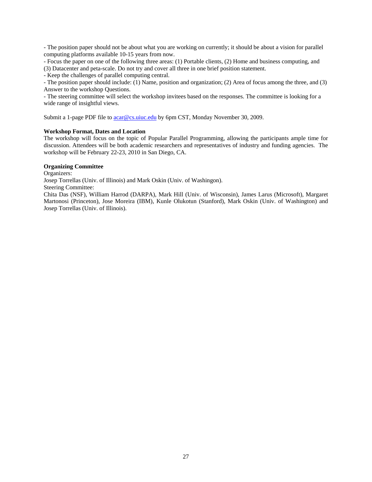- The position paper should not be about what you are working on currently; it should be about a vision for parallel computing platforms available 10-15 years from now.

- Focus the paper on one of the following three areas: (1) Portable clients, (2) Home and business computing, and (3) Datacenter and peta-scale. Do not try and cover all three in one brief position statement.

- Keep the challenges of parallel computing central.

- The position paper should include: (1) Name, position and organization; (2) Area of focus among the three, and (3) Answer to the workshop Questions.

- The steering committee will select the workshop invitees based on the responses. The committee is looking for a wide range of insightful views.

Submit a 1-page PDF file to **acar@cs.uiuc.edu** by 6pm CST, Monday November 30, 2009.

#### **Workshop Format, Dates and Location**

The workshop will focus on the topic of Popular Parallel Programming, allowing the participants ample time for discussion. Attendees will be both academic researchers and representatives of industry and funding agencies. The workshop will be February 22-23, 2010 in San Diego, CA.

#### **Organizing Committee**

Organizers:

Josep Torrellas (Univ. of Illinois) and Mark Oskin (Univ. of Washingon).

Steering Committee:

Chita Das (NSF), William Harrod (DARPA), Mark Hill (Univ. of Wisconsin), James Larus (Microsoft), Margaret Martonosi (Princeton), Jose Moreira (IBM), Kunle Olukotun (Stanford), Mark Oskin (Univ. of Washington) and Josep Torrellas (Univ. of Illinois).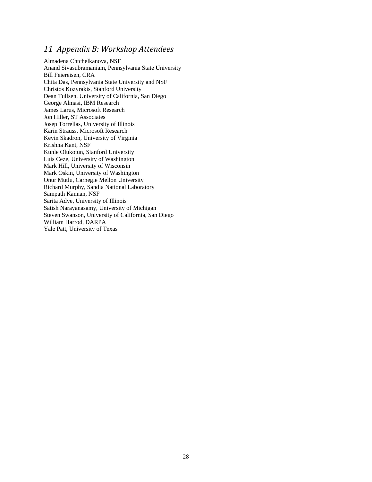#### *11 Appendix B: Workshop Attendees*

Almadena Chtchelkanova, NSF Anand Sivasubramaniam, Pennsylvania State University Bill Feiereisen, CRA Chita Das, Pennsylvania State University and NSF Christos Kozyrakis, Stanford University Dean Tullsen, University of California, San Diego George Almasi, IBM Research James Larus, Microsoft Research Jon Hiller, ST Associates Josep Torrellas, University of Illinois Karin Strauss, Microsoft Research Kevin Skadron, University of Virginia Krishna Kant, NSF Kunle Olukotun, Stanford University Luis Ceze, University of Washington Mark Hill, University of Wisconsin Mark Oskin, University of Washington Onur Mutlu, Carnegie Mellon University Richard Murphy, Sandia National Laboratory Sampath Kannan, NSF Sarita Adve, University of Illinois Satish Narayanasamy, University of Michigan Steven Swanson, University of California, San Diego William Harrod, DARPA Yale Patt, University of Texas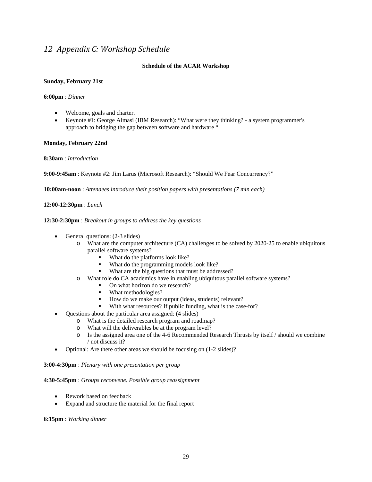#### *12 Appendix C: Workshop Schedule*

#### **Schedule of the ACAR Workshop**

#### **Sunday, February 21st**

#### **6:00pm** : *Dinner*

- Welcome, goals and charter.
- Keynote #1: George Almasi (IBM Research): "What were they thinking? a system programmer's approach to bridging the gap between software and hardware "

#### **Monday, February 22nd**

**8:30am** : *Introduction*

**9:00-9:45am** : Keynote #2: Jim Larus (Microsoft Research): "Should We Fear Concurrency?"

**10:00am-noon** : *Attendees introduce their position papers with presentations (7 min each)*

**12:00-12:30pm** : *Lunch*

#### **12:30-2:30pm** : *Breakout in groups to address the key questions*

- General questions: (2-3 slides)
	- o What are the computer architecture (CA) challenges to be solved by 2020-25 to enable ubiquitous parallel software systems?
		- What do the platforms look like?
		- What do the programming models look like?
		- What are the big questions that must be addressed?
	- o What role do CA academics have in enabling ubiquitous parallel software systems?
		- On what horizon do we research?
		- What methodologies?
		- How do we make our output (ideas, students) relevant?
		- With what resources? If public funding, what is the case-for?
- Questions about the particular area assigned: (4 slides)
	- o What is the detailed research program and roadmap?
	- o What will the deliverables be at the program level?
	- o Is the assigned area one of the 4-6 Recommended Research Thrusts by itself / should we combine / not discuss it?
- Optional: Are there other areas we should be focusing on (1-2 slides)?

#### **3:00-4:30pm** : *Plenary with one presentation per group*

#### **4:30-5:45pm** : *Groups reconvene. Possible group reassignment*

- Rework based on feedback
- Expand and structure the material for the final report

#### **6:15pm** : *Working dinner*